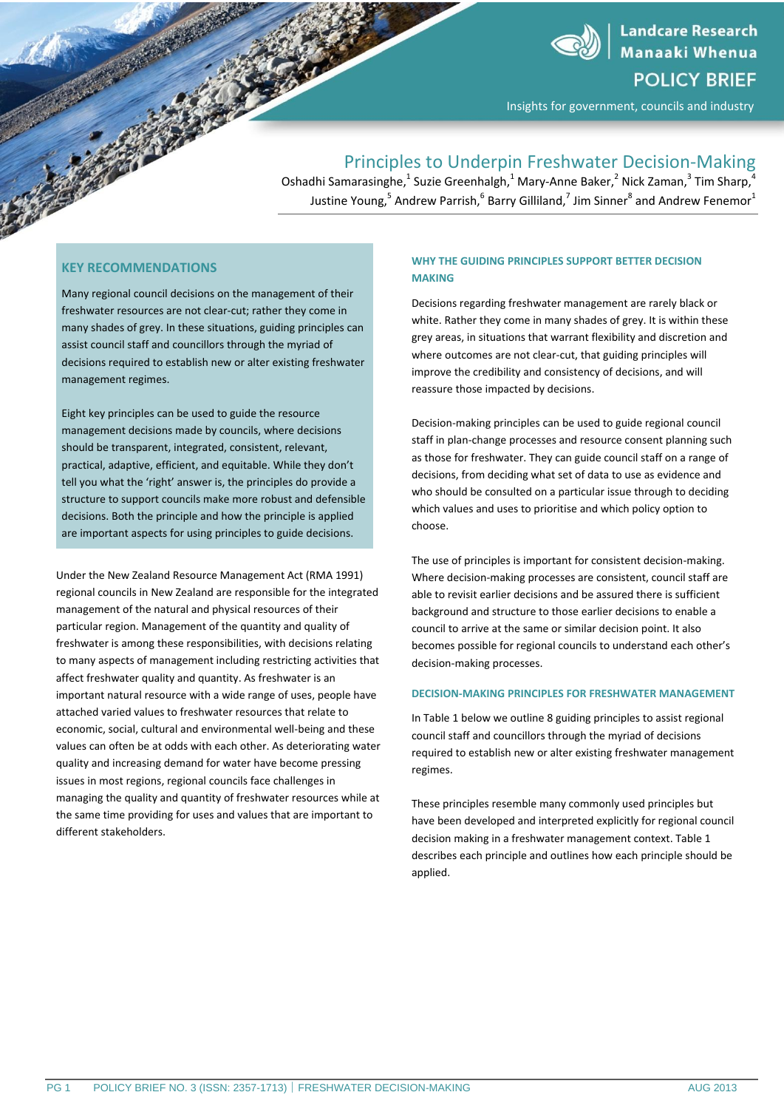

**Landcare Research** Manaaki Whenua **POLICY BRIEF** 

Insights for government, councils and industry

# Principles to Underpin Freshwater Decision-Making

Oshadhi Samarasinghe, <sup>1</sup> Suzie Greenhalgh, <sup>1</sup> Mary-Anne Baker, <sup>2</sup> Nick Zaman, <sup>3</sup> Tim Sharp, <sup>4</sup> Justine Young, $^5$  Andrew Parrish, $^6$  Barry Gilliland, $^7$  Jim Sinner $^8$  and Andrew Fenemor $^1$ 

# **KEY RECOMMENDATIONS**

Many regional council decisions on the management of their freshwater resources are not clear-cut; rather they come in many shades of grey. In these situations, guiding principles can assist council staff and councillors through the myriad of decisions required to establish new or alter existing freshwater management regimes.

Eight key principles can be used to guide the resource management decisions made by councils, where decisions should be transparent, integrated, consistent, relevant, practical, adaptive, efficient, and equitable. While they don't tell you what the 'right' answer is, the principles do provide a structure to support councils make more robust and defensible decisions. Both the principle and how the principle is applied are important aspects for using principles to guide decisions.

Under the New Zealand Resource Management Act (RMA 1991) regional councils in New Zealand are responsible for the integrated management of the natural and physical resources of their particular region. Management of the quantity and quality of freshwater is among these responsibilities, with decisions relating to many aspects of management including restricting activities that affect freshwater quality and quantity. As freshwater is an important natural resource with a wide range of uses, people have attached varied values to freshwater resources that relate to economic, social, cultural and environmental well-being and these values can often be at odds with each other. As deteriorating water quality and increasing demand for water have become pressing issues in most regions, regional councils face challenges in managing the quality and quantity of freshwater resources while at the same time providing for uses and values that are important to different stakeholders.

### **WHY THE GUIDING PRINCIPLES SUPPORT BETTER DECISION MAKING**

Decisions regarding freshwater management are rarely black or white. Rather they come in many shades of grey. It is within these grey areas, in situations that warrant flexibility and discretion and where outcomes are not clear-cut, that guiding principles will improve the credibility and consistency of decisions, and will reassure those impacted by decisions.

Decision-making principles can be used to guide regional council staff in plan-change processes and resource consent planning such as those for freshwater. They can guide council staff on a range of decisions, from deciding what set of data to use as evidence and who should be consulted on a particular issue through to deciding which values and uses to prioritise and which policy option to choose.

The use of principles is important for consistent decision-making. Where decision-making processes are consistent, council staff are able to revisit earlier decisions and be assured there is sufficient background and structure to those earlier decisions to enable a council to arrive at the same or similar decision point. It also becomes possible for regional councils to understand each other's decision-making processes.

### **DECISION-MAKING PRINCIPLES FOR FRESHWATER MANAGEMENT**

In Table 1 below we outline 8 guiding principles to assist regional council staff and councillors through the myriad of decisions required to establish new or alter existing freshwater management regimes.

These principles resemble many commonly used principles but have been developed and interpreted explicitly for regional council decision making in a freshwater management context. Table 1 describes each principle and outlines how each principle should be applied.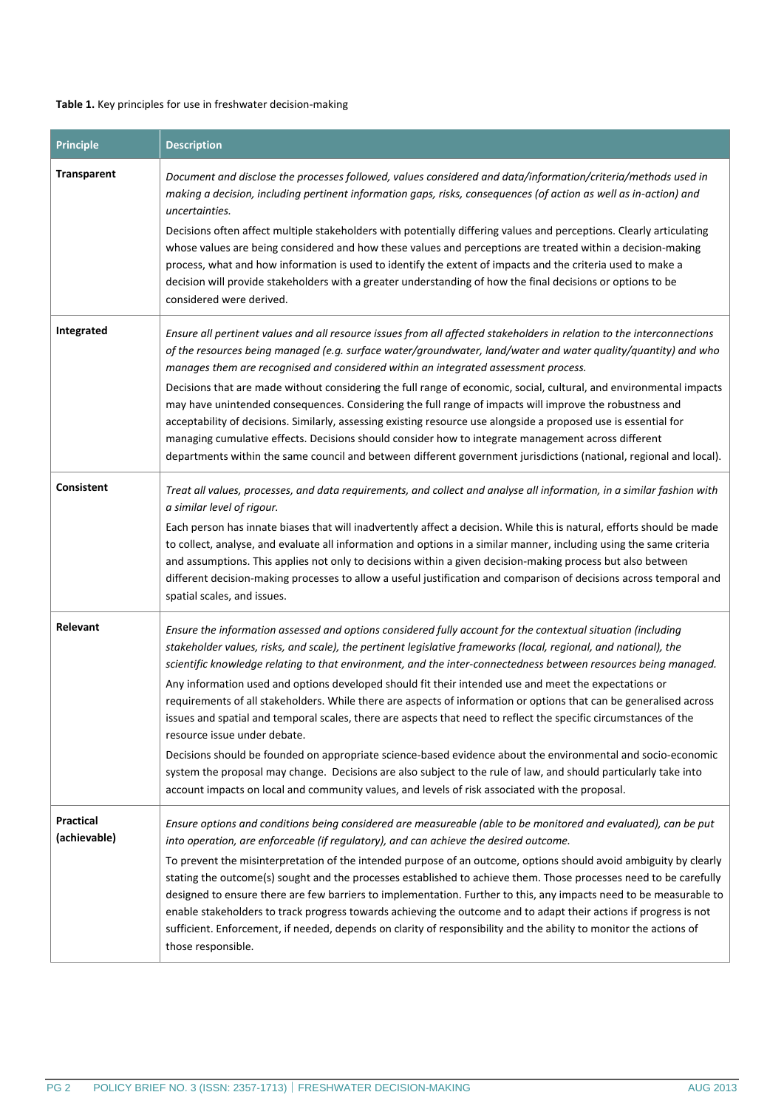### **Table 1.** Key principles for use in freshwater decision-making

| <b>Principle</b>                 | <b>Description</b>                                                                                                                                                                                                                                                                                                                                                                                                                                                                                                                                                                                                                                                                                                                                                                                                                                                                                                                                                                                                                                                            |
|----------------------------------|-------------------------------------------------------------------------------------------------------------------------------------------------------------------------------------------------------------------------------------------------------------------------------------------------------------------------------------------------------------------------------------------------------------------------------------------------------------------------------------------------------------------------------------------------------------------------------------------------------------------------------------------------------------------------------------------------------------------------------------------------------------------------------------------------------------------------------------------------------------------------------------------------------------------------------------------------------------------------------------------------------------------------------------------------------------------------------|
| <b>Transparent</b>               | Document and disclose the processes followed, values considered and data/information/criteria/methods used in<br>making a decision, including pertinent information gaps, risks, consequences (of action as well as in-action) and<br>uncertainties.<br>Decisions often affect multiple stakeholders with potentially differing values and perceptions. Clearly articulating<br>whose values are being considered and how these values and perceptions are treated within a decision-making<br>process, what and how information is used to identify the extent of impacts and the criteria used to make a<br>decision will provide stakeholders with a greater understanding of how the final decisions or options to be<br>considered were derived.                                                                                                                                                                                                                                                                                                                         |
| Integrated                       | Ensure all pertinent values and all resource issues from all affected stakeholders in relation to the interconnections<br>of the resources being managed (e.g. surface water/groundwater, land/water and water quality/quantity) and who<br>manages them are recognised and considered within an integrated assessment process.<br>Decisions that are made without considering the full range of economic, social, cultural, and environmental impacts<br>may have unintended consequences. Considering the full range of impacts will improve the robustness and<br>acceptability of decisions. Similarly, assessing existing resource use alongside a proposed use is essential for<br>managing cumulative effects. Decisions should consider how to integrate management across different<br>departments within the same council and between different government jurisdictions (national, regional and local).                                                                                                                                                            |
| <b>Consistent</b>                | Treat all values, processes, and data requirements, and collect and analyse all information, in a similar fashion with<br>a similar level of rigour.<br>Each person has innate biases that will inadvertently affect a decision. While this is natural, efforts should be made<br>to collect, analyse, and evaluate all information and options in a similar manner, including using the same criteria<br>and assumptions. This applies not only to decisions within a given decision-making process but also between<br>different decision-making processes to allow a useful justification and comparison of decisions across temporal and<br>spatial scales, and issues.                                                                                                                                                                                                                                                                                                                                                                                                   |
| Relevant                         | Ensure the information assessed and options considered fully account for the contextual situation (including<br>stakeholder values, risks, and scale), the pertinent legislative frameworks (local, regional, and national), the<br>scientific knowledge relating to that environment, and the inter-connectedness between resources being managed.<br>Any information used and options developed should fit their intended use and meet the expectations or<br>requirements of all stakeholders. While there are aspects of information or options that can be generalised across<br>issues and spatial and temporal scales, there are aspects that need to reflect the specific circumstances of the<br>resource issue under debate.<br>Decisions should be founded on appropriate science-based evidence about the environmental and socio-economic<br>system the proposal may change. Decisions are also subject to the rule of law, and should particularly take into<br>account impacts on local and community values, and levels of risk associated with the proposal. |
| <b>Practical</b><br>(achievable) | Ensure options and conditions being considered are measureable (able to be monitored and evaluated), can be put<br>into operation, are enforceable (if regulatory), and can achieve the desired outcome.<br>To prevent the misinterpretation of the intended purpose of an outcome, options should avoid ambiguity by clearly<br>stating the outcome(s) sought and the processes established to achieve them. Those processes need to be carefully<br>designed to ensure there are few barriers to implementation. Further to this, any impacts need to be measurable to<br>enable stakeholders to track progress towards achieving the outcome and to adapt their actions if progress is not<br>sufficient. Enforcement, if needed, depends on clarity of responsibility and the ability to monitor the actions of<br>those responsible.                                                                                                                                                                                                                                     |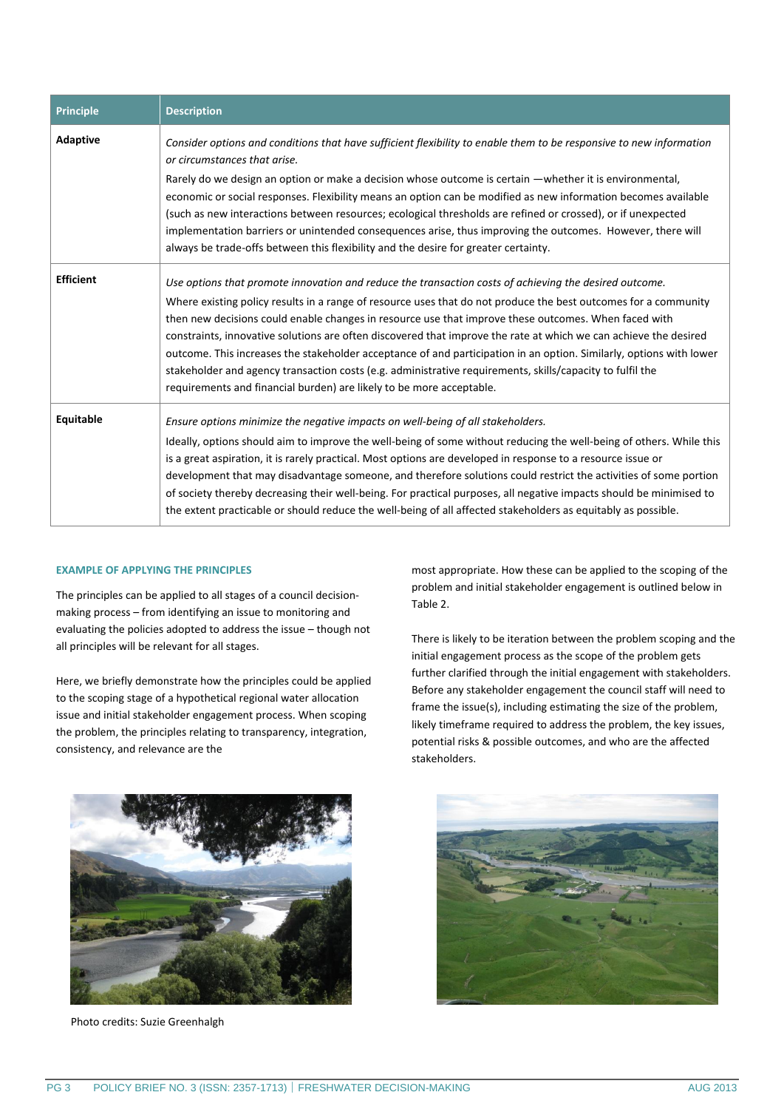| <b>Principle</b> | <b>Description</b>                                                                                                                                                                                                                                                                                                                                                                                                                                                                                                                                                                                                                                                                                                                                                |
|------------------|-------------------------------------------------------------------------------------------------------------------------------------------------------------------------------------------------------------------------------------------------------------------------------------------------------------------------------------------------------------------------------------------------------------------------------------------------------------------------------------------------------------------------------------------------------------------------------------------------------------------------------------------------------------------------------------------------------------------------------------------------------------------|
| <b>Adaptive</b>  | Consider options and conditions that have sufficient flexibility to enable them to be responsive to new information<br>or circumstances that arise.<br>Rarely do we design an option or make a decision whose outcome is certain —whether it is environmental,<br>economic or social responses. Flexibility means an option can be modified as new information becomes available<br>(such as new interactions between resources; ecological thresholds are refined or crossed), or if unexpected<br>implementation barriers or unintended consequences arise, thus improving the outcomes. However, there will<br>always be trade-offs between this flexibility and the desire for greater certainty.                                                             |
| <b>Efficient</b> | Use options that promote innovation and reduce the transaction costs of achieving the desired outcome.<br>Where existing policy results in a range of resource uses that do not produce the best outcomes for a community<br>then new decisions could enable changes in resource use that improve these outcomes. When faced with<br>constraints, innovative solutions are often discovered that improve the rate at which we can achieve the desired<br>outcome. This increases the stakeholder acceptance of and participation in an option. Similarly, options with lower<br>stakeholder and agency transaction costs (e.g. administrative requirements, skills/capacity to fulfil the<br>requirements and financial burden) are likely to be more acceptable. |
| Equitable        | Ensure options minimize the negative impacts on well-being of all stakeholders.<br>Ideally, options should aim to improve the well-being of some without reducing the well-being of others. While this<br>is a great aspiration, it is rarely practical. Most options are developed in response to a resource issue or<br>development that may disadvantage someone, and therefore solutions could restrict the activities of some portion<br>of society thereby decreasing their well-being. For practical purposes, all negative impacts should be minimised to<br>the extent practicable or should reduce the well-being of all affected stakeholders as equitably as possible.                                                                                |

### **EXAMPLE OF APPLYING THE PRINCIPLES**

The principles can be applied to all stages of a council decisionmaking process – from identifying an issue to monitoring and evaluating the policies adopted to address the issue – though not all principles will be relevant for all stages.

Here, we briefly demonstrate how the principles could be applied to the scoping stage of a hypothetical regional water allocation issue and initial stakeholder engagement process. When scoping the problem, the principles relating to transparency, integration, consistency, and relevance are the

most appropriate. How these can be applied to the scoping of the problem and initial stakeholder engagement is outlined below in Table 2.

There is likely to be iteration between the problem scoping and the initial engagement process as the scope of the problem gets further clarified through the initial engagement with stakeholders. Before any stakeholder engagement the council staff will need to frame the issue(s), including estimating the size of the problem, likely timeframe required to address the problem, the key issues, potential risks & possible outcomes, and who are the affected stakeholders.



Photo credits: Suzie Greenhalgh

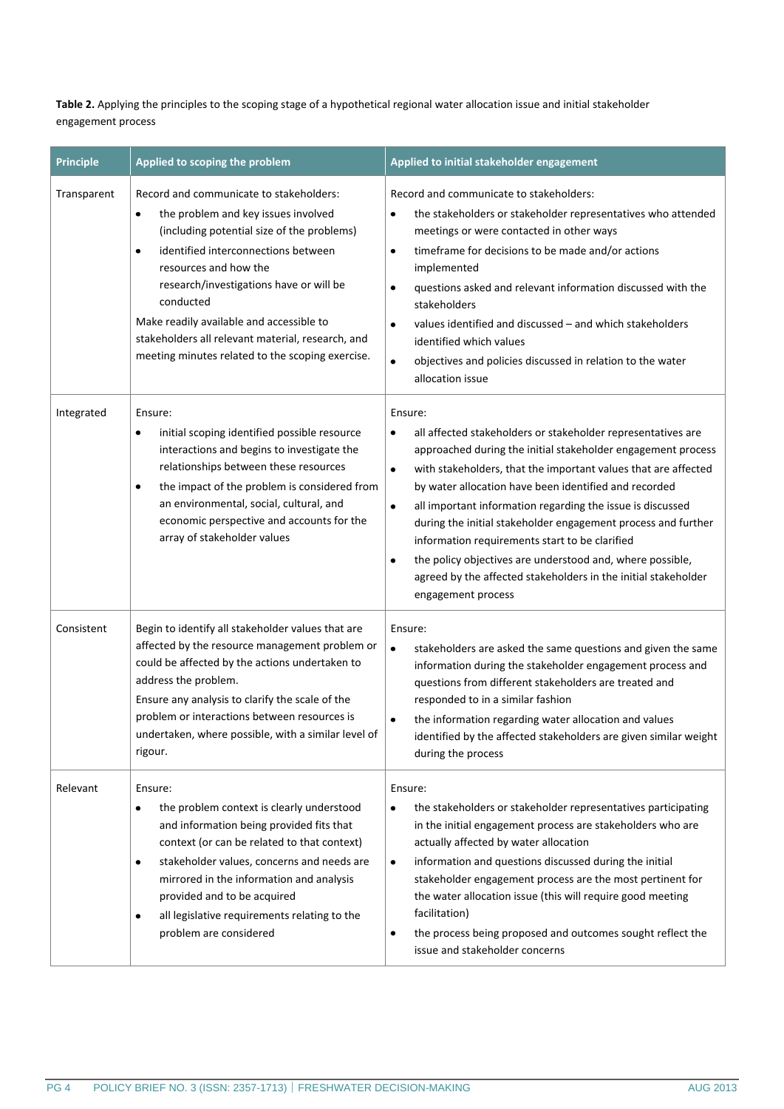**Table 2.** Applying the principles to the scoping stage of a hypothetical regional water allocation issue and initial stakeholder engagement process

| <b>Principle</b> | Applied to scoping the problem                                                                                                                                                                                                                                                                                                                                                                                                      | Applied to initial stakeholder engagement                                                                                                                                                                                                                                                                                                                                                                                                                                                                                                                                                                                                    |
|------------------|-------------------------------------------------------------------------------------------------------------------------------------------------------------------------------------------------------------------------------------------------------------------------------------------------------------------------------------------------------------------------------------------------------------------------------------|----------------------------------------------------------------------------------------------------------------------------------------------------------------------------------------------------------------------------------------------------------------------------------------------------------------------------------------------------------------------------------------------------------------------------------------------------------------------------------------------------------------------------------------------------------------------------------------------------------------------------------------------|
| Transparent      | Record and communicate to stakeholders:<br>the problem and key issues involved<br>$\bullet$<br>(including potential size of the problems)<br>identified interconnections between<br>$\bullet$<br>resources and how the<br>research/investigations have or will be<br>conducted<br>Make readily available and accessible to<br>stakeholders all relevant material, research, and<br>meeting minutes related to the scoping exercise. | Record and communicate to stakeholders:<br>the stakeholders or stakeholder representatives who attended<br>٠<br>meetings or were contacted in other ways<br>timeframe for decisions to be made and/or actions<br>$\bullet$<br>implemented<br>questions asked and relevant information discussed with the<br>$\bullet$<br>stakeholders<br>values identified and discussed - and which stakeholders<br>$\bullet$<br>identified which values<br>objectives and policies discussed in relation to the water<br>$\bullet$<br>allocation issue                                                                                                     |
| Integrated       | Ensure:<br>initial scoping identified possible resource<br>٠<br>interactions and begins to investigate the<br>relationships between these resources<br>the impact of the problem is considered from<br>$\bullet$<br>an environmental, social, cultural, and<br>economic perspective and accounts for the<br>array of stakeholder values                                                                                             | Ensure:<br>all affected stakeholders or stakeholder representatives are<br>٠<br>approached during the initial stakeholder engagement process<br>with stakeholders, that the important values that are affected<br>$\bullet$<br>by water allocation have been identified and recorded<br>all important information regarding the issue is discussed<br>$\bullet$<br>during the initial stakeholder engagement process and further<br>information requirements start to be clarified<br>the policy objectives are understood and, where possible,<br>٠<br>agreed by the affected stakeholders in the initial stakeholder<br>engagement process |
| Consistent       | Begin to identify all stakeholder values that are<br>affected by the resource management problem or<br>could be affected by the actions undertaken to<br>address the problem.<br>Ensure any analysis to clarify the scale of the<br>problem or interactions between resources is<br>undertaken, where possible, with a similar level of<br>rigour.                                                                                  | Ensure:<br>$\bullet$<br>stakeholders are asked the same questions and given the same<br>information during the stakeholder engagement process and<br>questions from different stakeholders are treated and<br>responded to in a similar fashion<br>the information regarding water allocation and values<br>$\bullet$<br>identified by the affected stakeholders are given similar weight<br>during the process                                                                                                                                                                                                                              |
| Relevant         | Ensure:<br>the problem context is clearly understood<br>$\bullet$<br>and information being provided fits that<br>context (or can be related to that context)<br>stakeholder values, concerns and needs are<br>$\bullet$<br>mirrored in the information and analysis<br>provided and to be acquired<br>all legislative requirements relating to the<br>٠<br>problem are considered                                                   | Ensure:<br>the stakeholders or stakeholder representatives participating<br>$\bullet$<br>in the initial engagement process are stakeholders who are<br>actually affected by water allocation<br>information and questions discussed during the initial<br>$\bullet$<br>stakeholder engagement process are the most pertinent for<br>the water allocation issue (this will require good meeting<br>facilitation)<br>the process being proposed and outcomes sought reflect the<br>٠<br>issue and stakeholder concerns                                                                                                                         |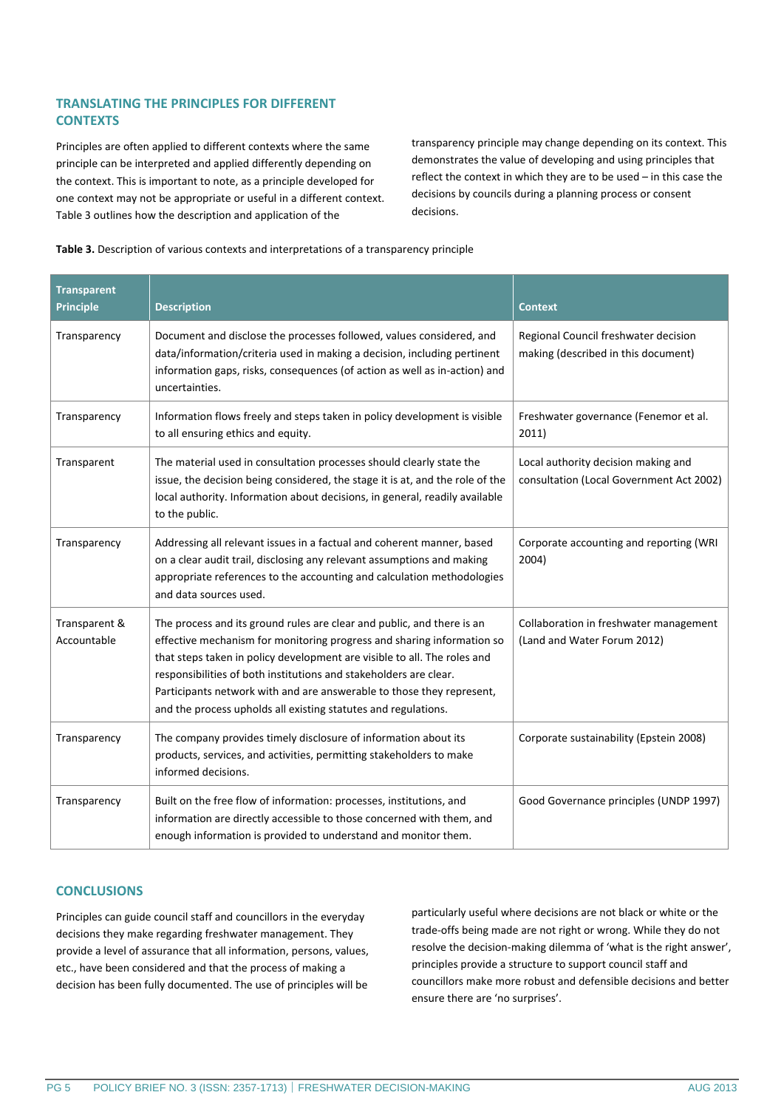## **TRANSLATING THE PRINCIPLES FOR DIFFERENT CONTEXTS**

Principles are often applied to different contexts where the same principle can be interpreted and applied differently depending on the context. This is important to note, as a principle developed for one context may not be appropriate or useful in a different context. Table 3 outlines how the description and application of the

transparency principle may change depending on its context. This demonstrates the value of developing and using principles that reflect the context in which they are to be used – in this case the decisions by councils during a planning process or consent decisions.



| <b>Transparent</b><br><b>Principle</b> | <b>Description</b>                                                                                                                                                                                                                                                                                                                                                                                                                           | <b>Context</b>                                                                  |
|----------------------------------------|----------------------------------------------------------------------------------------------------------------------------------------------------------------------------------------------------------------------------------------------------------------------------------------------------------------------------------------------------------------------------------------------------------------------------------------------|---------------------------------------------------------------------------------|
| Transparency                           | Document and disclose the processes followed, values considered, and<br>data/information/criteria used in making a decision, including pertinent<br>information gaps, risks, consequences (of action as well as in-action) and<br>uncertainties.                                                                                                                                                                                             | Regional Council freshwater decision<br>making (described in this document)     |
| Transparency                           | Information flows freely and steps taken in policy development is visible<br>to all ensuring ethics and equity.                                                                                                                                                                                                                                                                                                                              | Freshwater governance (Fenemor et al.<br>2011)                                  |
| Transparent                            | The material used in consultation processes should clearly state the<br>issue, the decision being considered, the stage it is at, and the role of the<br>local authority. Information about decisions, in general, readily available<br>to the public.                                                                                                                                                                                       | Local authority decision making and<br>consultation (Local Government Act 2002) |
| Transparency                           | Addressing all relevant issues in a factual and coherent manner, based<br>on a clear audit trail, disclosing any relevant assumptions and making<br>appropriate references to the accounting and calculation methodologies<br>and data sources used.                                                                                                                                                                                         | Corporate accounting and reporting (WRI<br>2004)                                |
| Transparent &<br>Accountable           | The process and its ground rules are clear and public, and there is an<br>effective mechanism for monitoring progress and sharing information so<br>that steps taken in policy development are visible to all. The roles and<br>responsibilities of both institutions and stakeholders are clear.<br>Participants network with and are answerable to those they represent,<br>and the process upholds all existing statutes and regulations. | Collaboration in freshwater management<br>(Land and Water Forum 2012)           |
| Transparency                           | The company provides timely disclosure of information about its<br>products, services, and activities, permitting stakeholders to make<br>informed decisions.                                                                                                                                                                                                                                                                                | Corporate sustainability (Epstein 2008)                                         |
| Transparency                           | Built on the free flow of information: processes, institutions, and<br>information are directly accessible to those concerned with them, and<br>enough information is provided to understand and monitor them.                                                                                                                                                                                                                               | Good Governance principles (UNDP 1997)                                          |

## **CONCLUSIONS**

Principles can guide council staff and councillors in the everyday decisions they make regarding freshwater management. They provide a level of assurance that all information, persons, values, etc., have been considered and that the process of making a decision has been fully documented. The use of principles will be

particularly useful where decisions are not black or white or the trade-offs being made are not right or wrong. While they do not resolve the decision-making dilemma of 'what is the right answer', principles provide a structure to support council staff and councillors make more robust and defensible decisions and better ensure there are 'no surprises'.